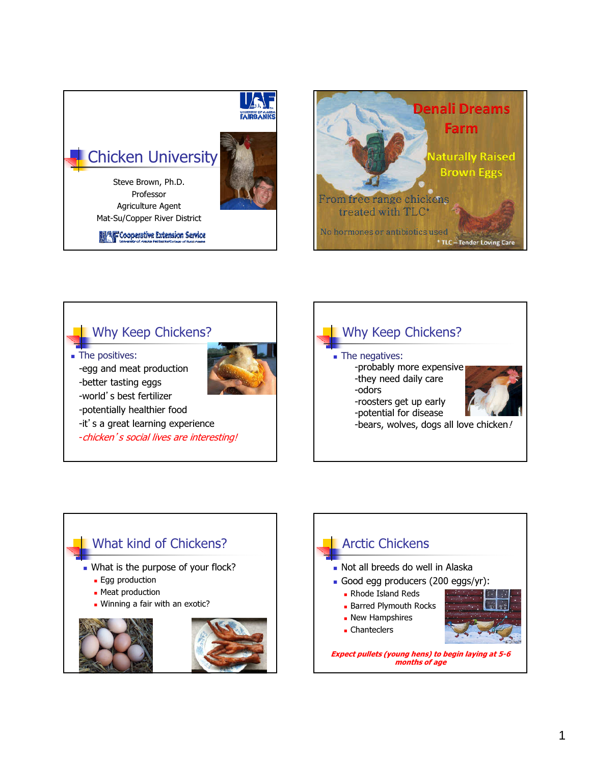



#### Why Keep Chickens?

**The positives:** 

-egg and meat production -better tasting eggs -world's best fertilizer



- -potentially healthier food
- -it's a great learning experience
- -chicken's social lives are interesting!

### Why Keep Chickens? The negatives: -probably more expensive -they need daily care -odors -roosters get up early -potential for disease -bears, wolves, dogs all love chicken!



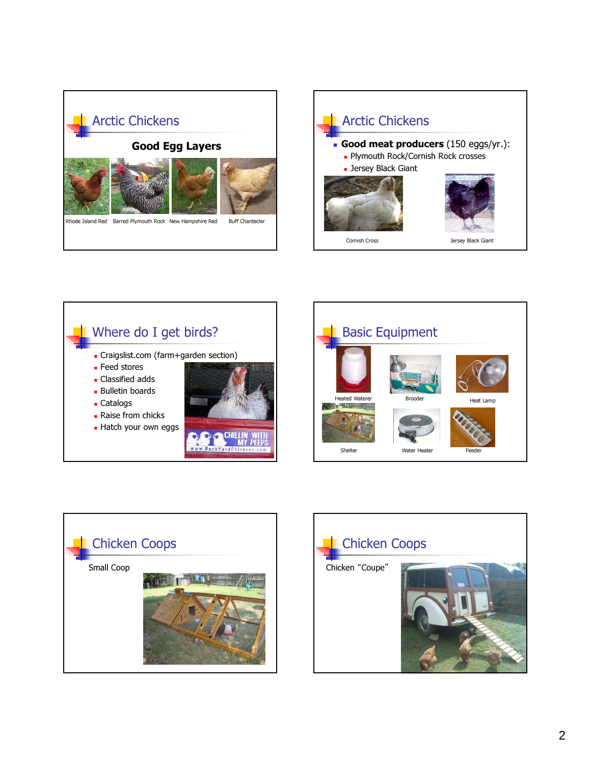









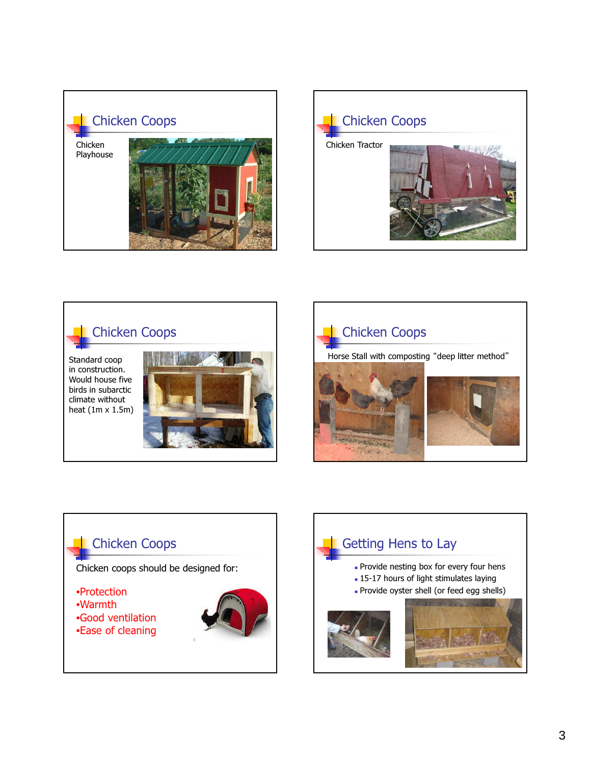





Standard coop in construction. Would house five birds in subarctic climate without heat (1m x 1.5m)





## Chicken Coops

Chicken coops should be designed for:

•Protection

- •Warmth
- •Good ventilation

•Ease of cleaning



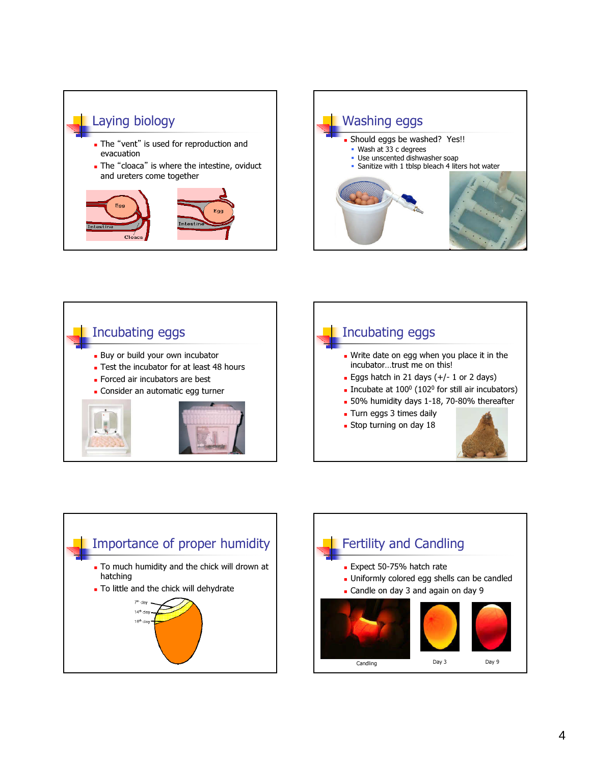







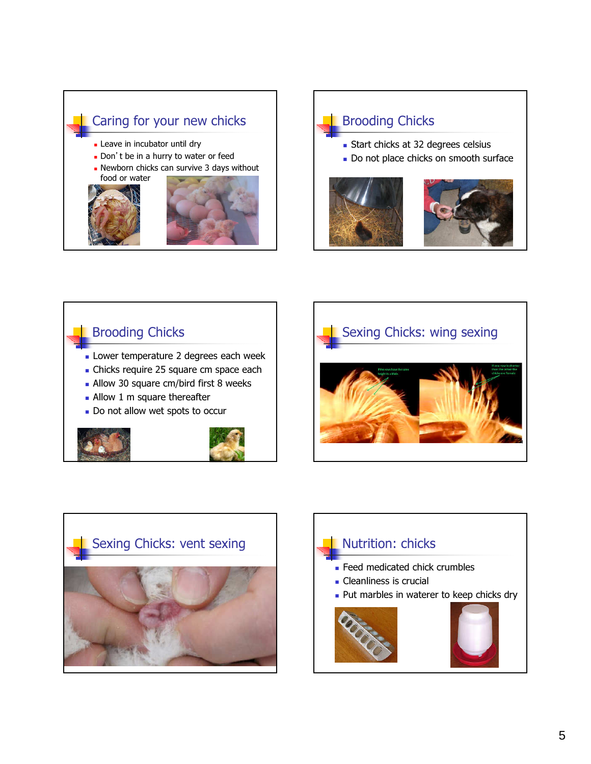#### Caring for your new chicks

- **Leave in incubator until dry**
- Don't be in a hurry to water or feed
- **Newborn chicks can survive 3 days without**





# Brooding Chicks

- **Start chicks at 32 degrees celsius**
- Do not place chicks on smooth surface



# **Brooding Chicks**

- **Lower temperature 2 degrees each week**
- Chicks require 25 square cm space each
- **Allow 30 square cm/bird first 8 weeks**
- **Allow 1 m square thereafter**
- Do not allow wet spots to occur







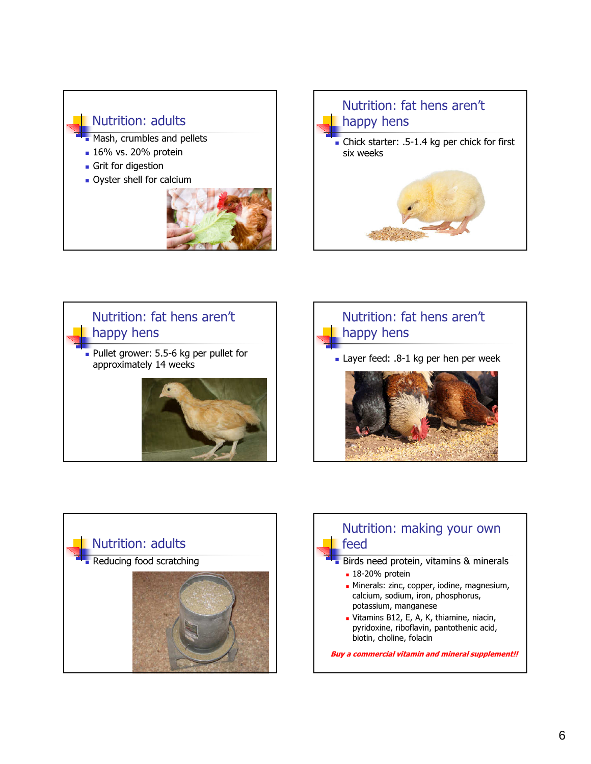









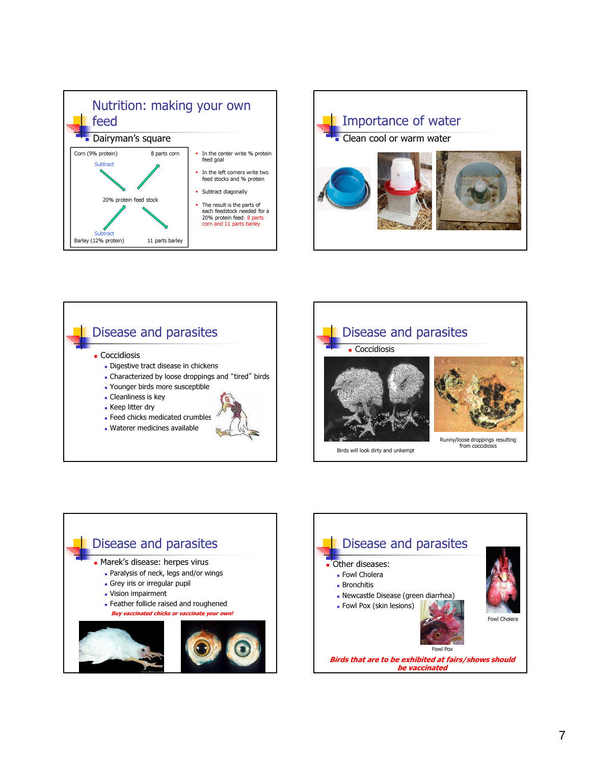









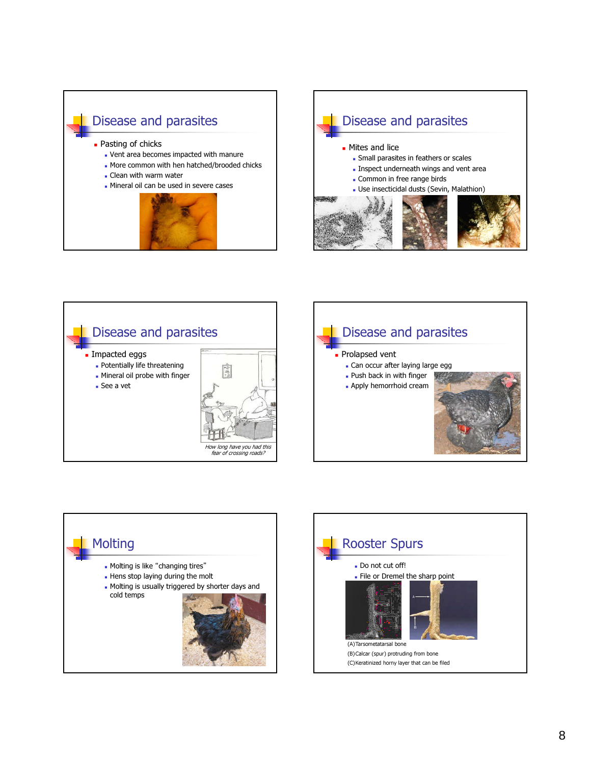









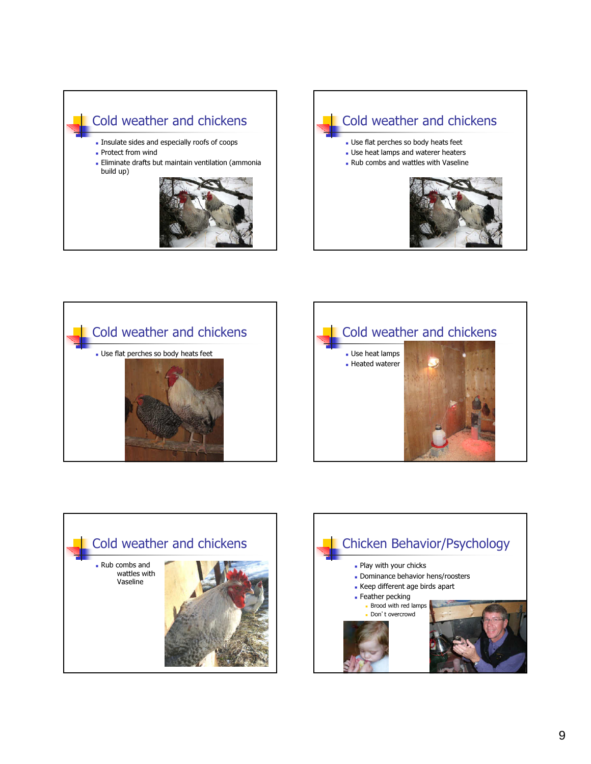#### Cold weather and chickens

- **Insulate sides and especially roofs of coops**
- **Protect from wind**
- Eliminate drafts but maintain ventilation (ammonia build up)